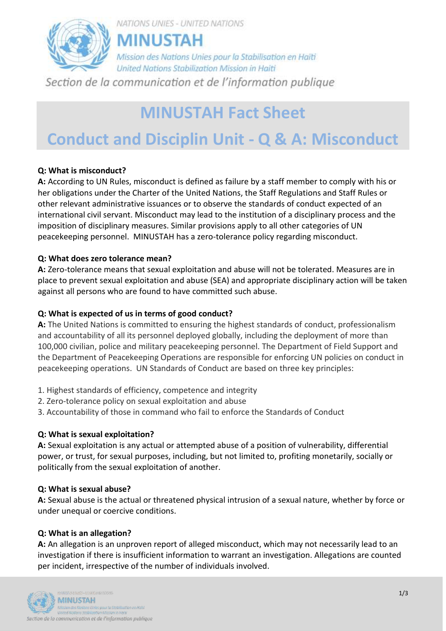

## **MINUSTAH Fact Sheet**

# **Conduct and Disciplin Unit - Q & A: Misconduct**

#### **Q: What is misconduct?**

**A:** According to UN Rules, misconduct is defined as failure by a staff member to comply with his or her obligations under the Charter of the United Nations, the Staff Regulations and Staff Rules or other relevant administrative issuances or to observe the standards of conduct expected of an international civil servant. Misconduct may lead to the institution of a disciplinary process and the imposition of disciplinary measures. Similar provisions apply to all other categories of UN peacekeeping personnel. MINUSTAH has a zero-tolerance policy regarding misconduct.

#### **Q: [What does zero tolerance mean?](javascript://)**

**A:** Zero-tolerance means that sexual exploitation and abuse will not be tolerated. Measures are in place to prevent sexual exploitation and abuse (SEA) and appropriate disciplinary action will be taken against all persons who are found to have committed such abuse.

#### **Q: What is expected of us in terms of good conduct?**

**A:** The United Nations is committed to ensuring the highest standards of conduct, professionalism and accountability of all its personnel deployed globally, including the deployment of more than 100,000 civilian, police and military peacekeeping personnel. The Department of Field Support and the Department of Peacekeeping Operations are responsible for enforcing UN policies on conduct in peacekeeping operations. UN Standards of Conduct are based on three key principles:

- 1. Highest standards of efficiency, competence and integrity
- 2. Zero-tolerance policy on sexual exploitation and abuse
- 3. Accountability of those in command who fail to enforce the Standards of Conduct

#### **Q: What is sexual exploitation?**

**A:** Sexual exploitation is any actual or attempted abuse of a position of vulnerability, differential power, or trust, for sexual purposes, including, but not limited to, profiting monetarily, socially or politically from the sexual exploitation of another.

#### **Q: What is sexual abuse?**

**A:** Sexual abuse is the actual or threatened physical intrusion of a sexual nature, whether by force or under unequal or coercive conditions.

#### **Q: What is an allegation?**

**A:** An allegation is an unproven report of alleged misconduct, which may not necessarily lead to an investigation if there is insufficient information to warrant an investigation. Allegations are counted per incident, irrespective of the number of individuals involved.

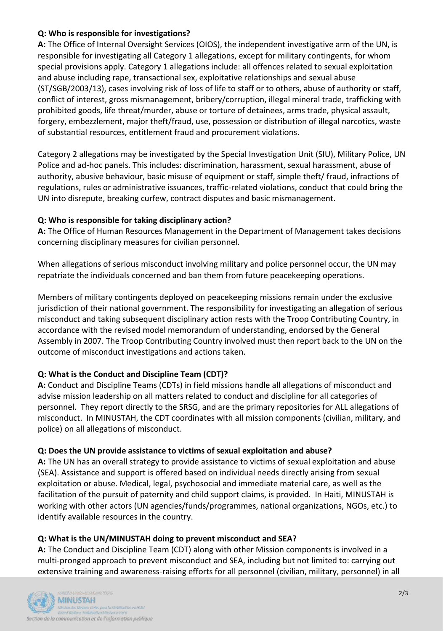#### **Q: Who is responsible for investigations?**

**A:** The Office of Internal Oversight Services (OIOS), the independent investigative arm of the UN, is responsible for investigating all Category 1 allegations, except for military contingents, for whom special provisions apply. Category 1 allegations include: all offences related to sexual exploitation and abuse including rape, transactional sex, exploitative relationships and sexual abuse (ST/SGB/2003/13), cases involving risk of loss of life to staff or to others, abuse of authority or staff, conflict of interest, gross mismanagement, bribery/corruption, illegal mineral trade, trafficking with prohibited goods, life threat/murder, abuse or torture of detainees, arms trade, physical assault, forgery, embezzlement, major theft/fraud, use, possession or distribution of illegal narcotics, waste of substantial resources, entitlement fraud and procurement violations.

Category 2 allegations may be investigated by the Special Investigation Unit (SIU), Military Police, UN Police and ad-hoc panels. This includes: discrimination, harassment, sexual harassment, abuse of authority, abusive behaviour, basic misuse of equipment or staff, simple theft/ fraud, infractions of regulations, rules or administrative issuances, traffic-related violations, conduct that could bring the UN into disrepute, breaking curfew, contract disputes and basic mismanagement.

#### **Q: Who is responsible for taking disciplinary action?**

**A:** The Office of Human Resources Management in the Department of Management takes decisions concerning disciplinary measures for civilian personnel.

When allegations of serious misconduct involving military and police personnel occur, the UN may repatriate the individuals concerned and ban them from future peacekeeping operations.

Members of military contingents deployed on peacekeeping missions remain under the exclusive jurisdiction of their national government. The responsibility for investigating an allegation of serious misconduct and taking subsequent disciplinary action rests with the Troop Contributing Country, in accordance with the revised model memorandum of understanding, endorsed by the General Assembly in 2007. The Troop Contributing Country involved must then report back to the UN on the outcome of misconduct investigations and actions taken.

#### **Q: What is the Conduct and Discipline Team (CDT)?**

**A:** Conduct and Discipline Teams (CDTs) in field missions handle all allegations of misconduct and advise mission leadership on all matters related to conduct and discipline for all categories of personnel. They report directly to the SRSG, and are the primary repositories for ALL allegations of misconduct. In MINUSTAH, the CDT coordinates with all mission components (civilian, military, and police) on all allegations of misconduct.

#### **Q: Does the UN provide assistance to victims of sexual exploitation and abuse?**

**A:** The UN has an overall strategy to provide assistance to victims of sexual exploitation and abuse (SEA). Assistance and support is offered based on individual needs directly arising from sexual exploitation or abuse. Medical, legal, psychosocial and immediate material care, as well as the facilitation of the pursuit of paternity and child support claims, is provided. In Haiti, MINUSTAH is working with other actors (UN agencies/funds/programmes, national organizations, NGOs, etc.) to identify available resources in the country.

#### **Q: What is the UN/MINUSTAH doing to prevent misconduct and SEA?**

**A:** The Conduct and Discipline Team (CDT) along with other Mission components is involved in a multi-pronged approach to prevent misconduct and SEA, including but not limited to: carrying out extensive training and awareness-raising efforts for all personnel (civilian, military, personnel) in all